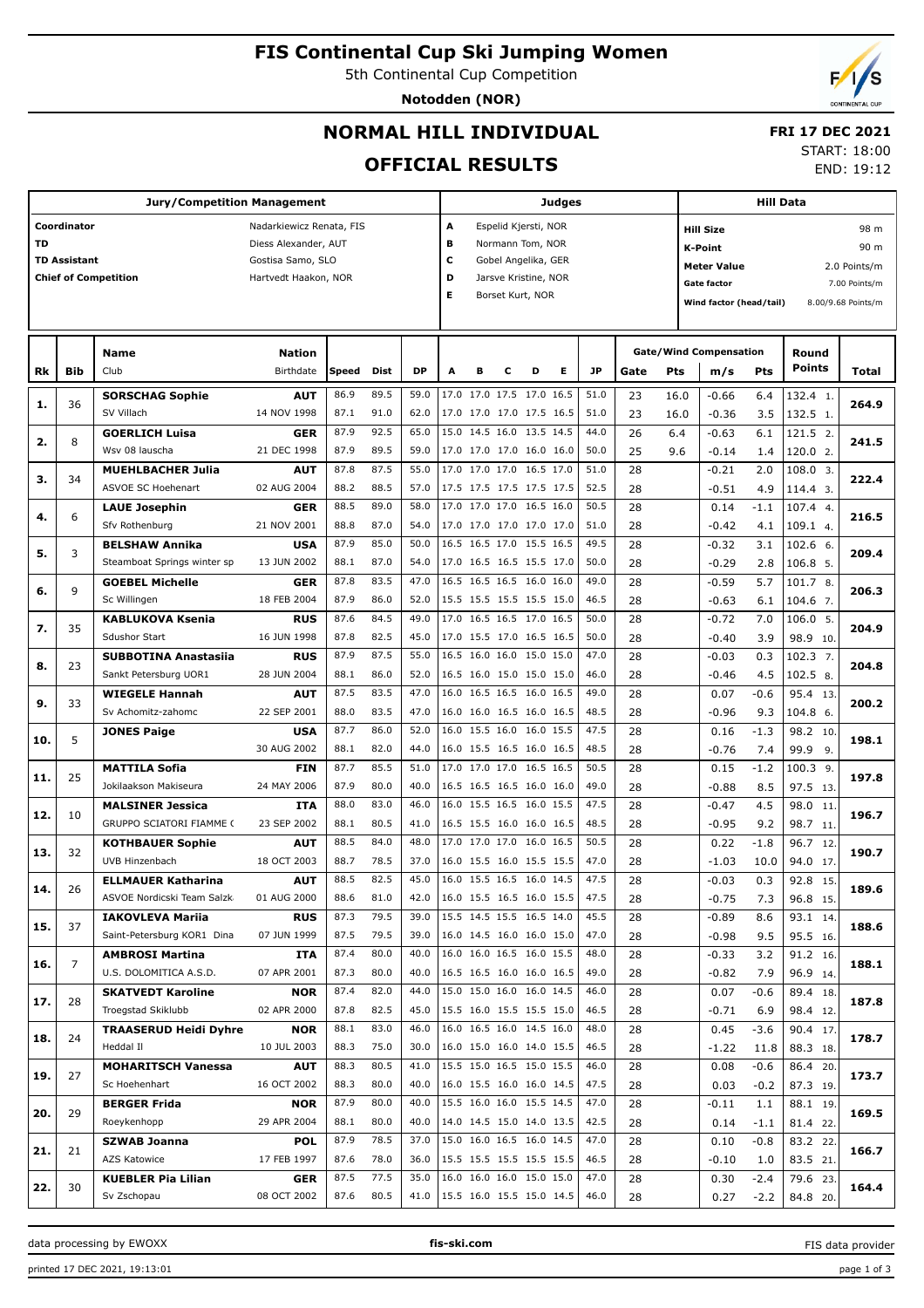# **FIS Continental Cup Ski Jumping Women**

5th Continental Cup Competition

**Notodden (NOR)**

## **NORMAL HILL INDIVIDUAL**

### **FRI 17 DEC 2021**

**OFFICIAL RESULTS**

| START: 18:00 |            |
|--------------|------------|
|              | END: 19:12 |

|     |                     | <b>Jury/Competition Management</b>       |                           |              |              |              | Judges                                               |                                             |   | <b>Hill Data</b>     |   |              |      |            |                               |                              |                    |              |  |  |
|-----|---------------------|------------------------------------------|---------------------------|--------------|--------------|--------------|------------------------------------------------------|---------------------------------------------|---|----------------------|---|--------------|------|------------|-------------------------------|------------------------------|--------------------|--------------|--|--|
|     | Coordinator         |                                          | Nadarkiewicz Renata, FIS  |              |              |              | А                                                    |                                             |   | Espelid Kjersti, NOR |   |              |      |            | 98 m<br><b>Hill Size</b>      |                              |                    |              |  |  |
| TD  |                     |                                          | Diess Alexander, AUT      |              |              |              | в                                                    |                                             |   | Normann Tom, NOR     |   |              |      |            | <b>K-Point</b>                |                              |                    | 90 m         |  |  |
|     | <b>TD Assistant</b> |                                          | Gostisa Samo, SLO         |              |              |              | с                                                    |                                             |   | Gobel Angelika, GER  |   |              |      |            | <b>Meter Value</b>            |                              |                    | 2.0 Points/m |  |  |
|     |                     | <b>Chief of Competition</b>              | Hartvedt Haakon, NOR      |              |              |              | D                                                    | Jarsve Kristine, NOR                        |   |                      |   |              |      |            |                               | Gate factor<br>7.00 Points/m |                    |              |  |  |
|     |                     |                                          |                           |              |              |              | Е                                                    | Borset Kurt, NOR<br>Wind factor (head/tail) |   |                      |   |              |      |            |                               |                              | 8.00/9.68 Points/m |              |  |  |
|     |                     |                                          |                           |              |              |              |                                                      |                                             |   |                      |   |              |      |            |                               |                              |                    |              |  |  |
|     |                     |                                          |                           |              |              |              |                                                      |                                             |   |                      |   |              |      |            |                               |                              |                    |              |  |  |
|     |                     | Name                                     | <b>Nation</b>             |              |              |              |                                                      |                                             |   |                      |   |              |      |            | <b>Gate/Wind Compensation</b> |                              | Round              |              |  |  |
| Rk  | Bib                 | Club                                     | Birthdate                 | Speed        | Dist         | <b>DP</b>    | A                                                    | в                                           | с | D                    | Е | <b>JP</b>    | Gate | <b>Pts</b> | m/s                           | Pts                          | <b>Points</b>      | Total        |  |  |
|     |                     | <b>SORSCHAG Sophie</b>                   | <b>AUT</b>                | 86.9         | 89.5         | 59.0         | 17.0 17.0 17.5 17.0 16.5                             |                                             |   |                      |   | 51.0         | 23   | 16.0       | $-0.66$                       | 6.4                          | 132.4 1.           |              |  |  |
| 1.  | 36                  | SV Villach                               | 14 NOV 1998               | 87.1         | 91.0         | 62.0         | 17.0 17.0 17.0 17.5 16.5                             |                                             |   |                      |   | 51.0         | 23   | 16.0       | $-0.36$                       | 3.5                          | 132.5 1.           | 264.9        |  |  |
|     |                     | <b>GOERLICH Luisa</b>                    | <b>GER</b>                | 87.9         | 92.5         | 65.0         | 15.0 14.5 16.0 13.5 14.5                             |                                             |   |                      |   | 44.0         | 26   | 6.4        | $-0.63$                       | 6.1                          | 121.5 2.           |              |  |  |
| 2.  | 8                   | Wsv 08 lauscha                           | 21 DEC 1998               | 87.9         | 89.5         | 59.0         | 17.0 17.0 17.0 16.0 16.0                             |                                             |   |                      |   | 50.0         | 25   | 9.6        | $-0.14$                       | 1.4                          | 120.0 2.           | 241.5        |  |  |
|     |                     | <b>MUEHLBACHER Julia</b>                 | <b>AUT</b>                | 87.8         | 87.5         | 55.0         | 17.0 17.0 17.0 16.5 17.0                             |                                             |   |                      |   | 51.0         | 28   |            | $-0.21$                       | 2.0                          | 108.0 3.           |              |  |  |
| з.  | 34                  | ASVOE SC Hoehenart                       | 02 AUG 2004               | 88.2         | 88.5         | 57.0         | 17.5 17.5 17.5 17.5 17.5                             |                                             |   |                      |   | 52.5         | 28   |            | $-0.51$                       | 4.9                          | 114.4 3.           | 222.4        |  |  |
|     |                     | <b>LAUE Josephin</b>                     | <b>GER</b>                | 88.5         | 89.0         | 58.0         | 17.0 17.0 17.0 16.5 16.0                             |                                             |   |                      |   | 50.5         | 28   |            | 0.14                          | $-1.1$                       | 107.4 4.           |              |  |  |
| 4.  | 6                   | Sfv Rothenburg                           | 21 NOV 2001               | 88.8         | 87.0         | 54.0         | 17.0 17.0 17.0 17.0 17.0                             |                                             |   |                      |   | 51.0         | 28   |            | $-0.42$                       | 4.1                          | 109.1 4.           | 216.5        |  |  |
|     |                     | <b>BELSHAW Annika</b>                    | <b>USA</b>                | 87.9         | 85.0         | 50.0         | 16.5 16.5 17.0 15.5 16.5                             |                                             |   |                      |   | 49.5         | 28   |            | $-0.32$                       | 3.1                          | 102.6 6.           |              |  |  |
| 5.  | 3                   | Steamboat Springs winter sp              | 13 JUN 2002               | 88.1         | 87.0         | 54.0         | 17.0 16.5 16.5 15.5 17.0                             |                                             |   |                      |   | 50.0         | 28   |            | $-0.29$                       | 2.8                          | 106.8 5.           | 209.4        |  |  |
|     |                     | <b>GOEBEL Michelle</b>                   | <b>GER</b>                | 87.8         | 83.5         | 47.0         | 16.5 16.5 16.5 16.0 16.0                             |                                             |   |                      |   | 49.0         | 28   |            | $-0.59$                       | 5.7                          | 101.7 8.           |              |  |  |
| 6.  | 9                   | Sc Willingen                             | 18 FEB 2004               | 87.9         | 86.0         | 52.0         | 15.5 15.5 15.5 15.5 15.0                             |                                             |   |                      |   | 46.5         | 28   |            | $-0.63$                       | 6.1                          | 104.6 7.           | 206.3        |  |  |
|     |                     | <b>KABLUKOVA Ksenia</b>                  | <b>RUS</b>                | 87.6         | 84.5         | 49.0         | 17.0 16.5 16.5 17.0 16.5                             |                                             |   |                      |   | 50.0         | 28   |            | $-0.72$                       | 7.0                          | 106.0 5.           |              |  |  |
| 7.  | 35                  | <b>Sdushor Start</b>                     | 16 JUN 1998               | 87.8         | 82.5         | 45.0         | 17.0 15.5 17.0 16.5 16.5                             |                                             |   |                      |   | 50.0         | 28   |            | $-0.40$                       | 3.9                          | 98.9 10.           | 204.9        |  |  |
|     |                     | <b>SUBBOTINA Anastasiia</b>              | <b>RUS</b>                | 87.9         | 87.5         | 55.0         | 16.5 16.0 16.0 15.0 15.0                             |                                             |   |                      |   | 47.0         | 28   |            | $-0.03$                       | 0.3                          | 102.3 7.           |              |  |  |
| 8.  | 23                  | Sankt Petersburg UOR1                    | 28 JUN 2004               | 88.1         | 86.0         | 52.0         | 16.5 16.0 15.0 15.0 15.0                             |                                             |   |                      |   | 46.0         | 28   |            | $-0.46$                       | 4.5                          | 102.5 8.           | 204.8        |  |  |
|     |                     | <b>WIEGELE Hannah</b>                    | <b>AUT</b>                | 87.5         | 83.5         | 47.0         | 16.0 16.5 16.5 16.0 16.5                             |                                             |   |                      |   | 49.0         | 28   |            | 0.07                          | $-0.6$                       | 95.4 13.           |              |  |  |
| 9.  | 33                  | Sv Achomitz-zahomc                       | 22 SEP 2001               | 88.0         | 83.5         | 47.0         | 16.0 16.0 16.5 16.0 16.5                             |                                             |   |                      |   | 48.5         | 28   |            | $-0.96$                       | 9.3                          | 104.8 6.           | 200.2        |  |  |
|     | 5                   | <b>JONES Paige</b>                       | <b>USA</b>                | 87.7         | 86.0         | 52.0         | 16.0 15.5 16.0 16.0 15.5                             |                                             |   |                      |   | 47.5         | 28   |            | 0.16                          | $-1.3$                       | 98.2 10.           | 198.1        |  |  |
| 10. |                     |                                          | 30 AUG 2002               | 88.1         | 82.0         | 44.0         | 16.0 15.5 16.5 16.0 16.5                             |                                             |   |                      |   | 48.5         | 28   |            | $-0.76$                       | 7.4                          | 99.9<br>9.         |              |  |  |
| 11. | 25                  | <b>MATTILA Sofia</b>                     | <b>FIN</b>                | 87.7         | 85.5         | 51.0         | 17.0 17.0 17.0 16.5 16.5                             |                                             |   |                      |   | 50.5         | 28   |            | 0.15                          | $-1.2$                       | $100.3$ 9.         | 197.8        |  |  |
|     |                     | Jokilaakson Makiseura                    | 24 MAY 2006               | 87.9         | 80.0         | 40.0         | 16.5 16.5 16.5 16.0 16.0                             |                                             |   |                      |   | 49.0         | 28   |            | $-0.88$                       | 8.5                          | 97.5 13.           |              |  |  |
| 12. | 10                  | <b>MALSINER Jessica</b>                  | ITA                       | 88.0         | 83.0         | 46.0         | 16.0 15.5 16.5 16.0 15.5                             |                                             |   |                      |   | 47.5         | 28   |            | $-0.47$                       | 4.5                          | 98.0 11            | 196.7        |  |  |
|     |                     | GRUPPO SCIATORI FIAMME (                 | 23 SEP 2002               | 88.1         | 80.5         | 41.0         | 16.5 15.5 16.0 16.0 16.5                             |                                             |   |                      |   | 48.5         | 28   |            | $-0.95$                       | 9.2                          | 98.7 11.           |              |  |  |
| 13. | 32                  | <b>KOTHBAUER Sophie</b>                  | <b>AUT</b>                | 88.5         | 84.0         | 48.0         | 17.0 17.0 17.0 16.0 16.5                             |                                             |   |                      |   | 50.5         | 28   |            | 0.22                          | $-1.8$                       | 96.7 12.           | 190.7        |  |  |
|     |                     | UVB Hinzenbach                           | 18 OCT 2003               | 88.7         | 78.5         | 37.0         | 16.0 15.5 16.0 15.5 15.5                             |                                             |   |                      |   | 47.0         | 28   |            | $-1.03$                       | 10.0                         | 94.0 17.           |              |  |  |
| 14. | 26                  | <b>ELLMAUER Katharina</b>                | <b>AUT</b>                | 88.5         | 82.5         | 45.0         | 16.0 15.5 16.5 16.0 14.5                             |                                             |   |                      |   | 47.5         | 28   |            | $-0.03$                       | 0.3                          | 92.8 15.           | 189.6        |  |  |
|     |                     | ASVOE Nordicski Team Salzk               | 01 AUG 2000               | 88.6         | 81.0         | 42.0         | 16.0 15.5 16.5 16.0 15.5                             |                                             |   |                      |   | 47.5         | 28   |            | $-0.75$                       | 7.3                          | 96.8 15.           |              |  |  |
| 15. | 37                  | <b>IAKOVLEVA Mariia</b>                  | <b>RUS</b>                | 87.3         | 79.5         | 39.0         | 15.5 14.5 15.5 16.5 14.0                             |                                             |   |                      |   | 45.5         | 28   |            | $-0.89$                       | 8.6                          | 93.1 14.           | 188.6        |  |  |
|     |                     | Saint-Petersburg KOR1 Dina               | 07 JUN 1999               | 87.5         | 79.5         | 39.0         | 16.0 14.5 16.0 16.0 15.0                             |                                             |   |                      |   | 47.0         | 28   |            | $-0.98$                       | 9.5                          | 95.5 16.           |              |  |  |
| 16. | 7                   | <b>AMBROSI Martina</b>                   | ITA                       | 87.4         | 80.0         | 40.0         | 16.0 16.0 16.5 16.0 15.5                             |                                             |   |                      |   | 48.0         | 28   |            | $-0.33$                       | 3.2                          | 91.2 16.           | 188.1        |  |  |
|     |                     | U.S. DOLOMITICA A.S.D.                   | 07 APR 2001               | 87.3         | 80.0         | 40.0         | 16.5 16.5 16.0 16.0 16.5                             |                                             |   |                      |   | 49.0         | 28   |            | $-0.82$                       | 7.9                          | 96.9 14.           |              |  |  |
| 17. | 28                  | <b>SKATVEDT Karoline</b>                 | <b>NOR</b>                | 87.4         | 82.0         | 44.0         | 15.0 15.0 16.0 16.0 14.5                             |                                             |   |                      |   | 46.0         | 28   |            | 0.07                          | $-0.6$                       | 89.4 18.           | 187.8        |  |  |
|     |                     | Troegstad Skiklubb                       | 02 APR 2000               | 87.8         | 82.5         | 45.0         | 15.5 16.0 15.5 15.5 15.0                             |                                             |   |                      |   | 46.5         | 28   |            | $-0.71$                       | 6.9                          | 98.4 12.           |              |  |  |
| 18. | 24                  | <b>TRAASERUD Heidi Dyhre</b>             | <b>NOR</b>                | 88.1         | 83.0         | 46.0         | 16.0 16.5 16.0 14.5 16.0                             |                                             |   |                      |   | 48.0         | 28   |            | 0.45                          | $-3.6$                       | 90.4 17.           | 178.7        |  |  |
|     |                     | Heddal II                                | 10 JUL 2003               | 88.3         | 75.0         | 30.0         | 16.0 15.0 16.0 14.0 15.5                             |                                             |   |                      |   | 46.5         | 28   |            | $-1.22$                       | 11.8                         | 88.3 18.           |              |  |  |
| 19. | 27                  | <b>MOHARITSCH Vanessa</b>                | <b>AUT</b>                | 88.3         | 80.5         | 41.0         | 15.5 15.0 16.5 15.0 15.5                             |                                             |   |                      |   | 46.0         | 28   |            | 0.08                          | $-0.6$                       | 86.4 20.           | 173.7        |  |  |
|     |                     | Sc Hoehenhart                            | 16 OCT 2002               | 88.3         | 80.0         | 40.0         | 16.0 15.5 16.0 16.0 14.5                             |                                             |   |                      |   | 47.5         | 28   |            | 0.03                          | $-0.2$                       | 87.3 19.           |              |  |  |
| 20. | 29                  | <b>BERGER Frida</b>                      | <b>NOR</b>                | 87.9         | 80.0         | 40.0         | 15.5 16.0 16.0 15.5 14.5<br>14.0 14.5 15.0 14.0 13.5 |                                             |   |                      |   | 47.0         | 28   |            | $-0.11$                       | 1.1                          | 88.1 19.           | 169.5        |  |  |
|     |                     | Roeykenhopp                              | 29 APR 2004               | 88.1         | 80.0         | 40.0         |                                                      |                                             |   |                      |   | 42.5         | 28   |            | 0.14                          | $-1.1$                       | 81.4 22.           |              |  |  |
| 21. | 21                  | <b>SZWAB Joanna</b>                      | <b>POL</b>                | 87.9         | 78.5         | 37.0         | 15.0 16.0 16.5 16.0 14.5                             |                                             |   |                      |   | 47.0         | 28   |            | 0.10                          | $-0.8$                       | 83.2 22.           | 166.7        |  |  |
|     |                     | AZS Katowice                             | 17 FEB 1997               | 87.6<br>87.5 | 78.0<br>77.5 | 36.0<br>35.0 | 15.5 15.5 15.5 15.5 15.5<br>16.0 16.0 16.0 15.0 15.0 |                                             |   |                      |   | 46.5<br>47.0 | 28   |            | $-0.10$                       | 1.0                          | 83.5 21.           |              |  |  |
| 22. | 30                  | <b>KUEBLER Pia Lilian</b><br>Sv Zschopau | <b>GER</b><br>08 OCT 2002 | 87.6         | 80.5         | 41.0         |                                                      |                                             |   |                      |   | 46.0         | 28   |            | 0.30                          | $-2.4$                       | 79.6 23.           | 164.4        |  |  |
|     |                     |                                          |                           |              |              |              | 15.5 16.0 15.5 15.0 14.5                             |                                             |   |                      |   |              | 28   |            | 0.27                          | $-2.2$                       | 84.8 20.           |              |  |  |

data processing by EWOXX **fis-ski.com**

FIS data provider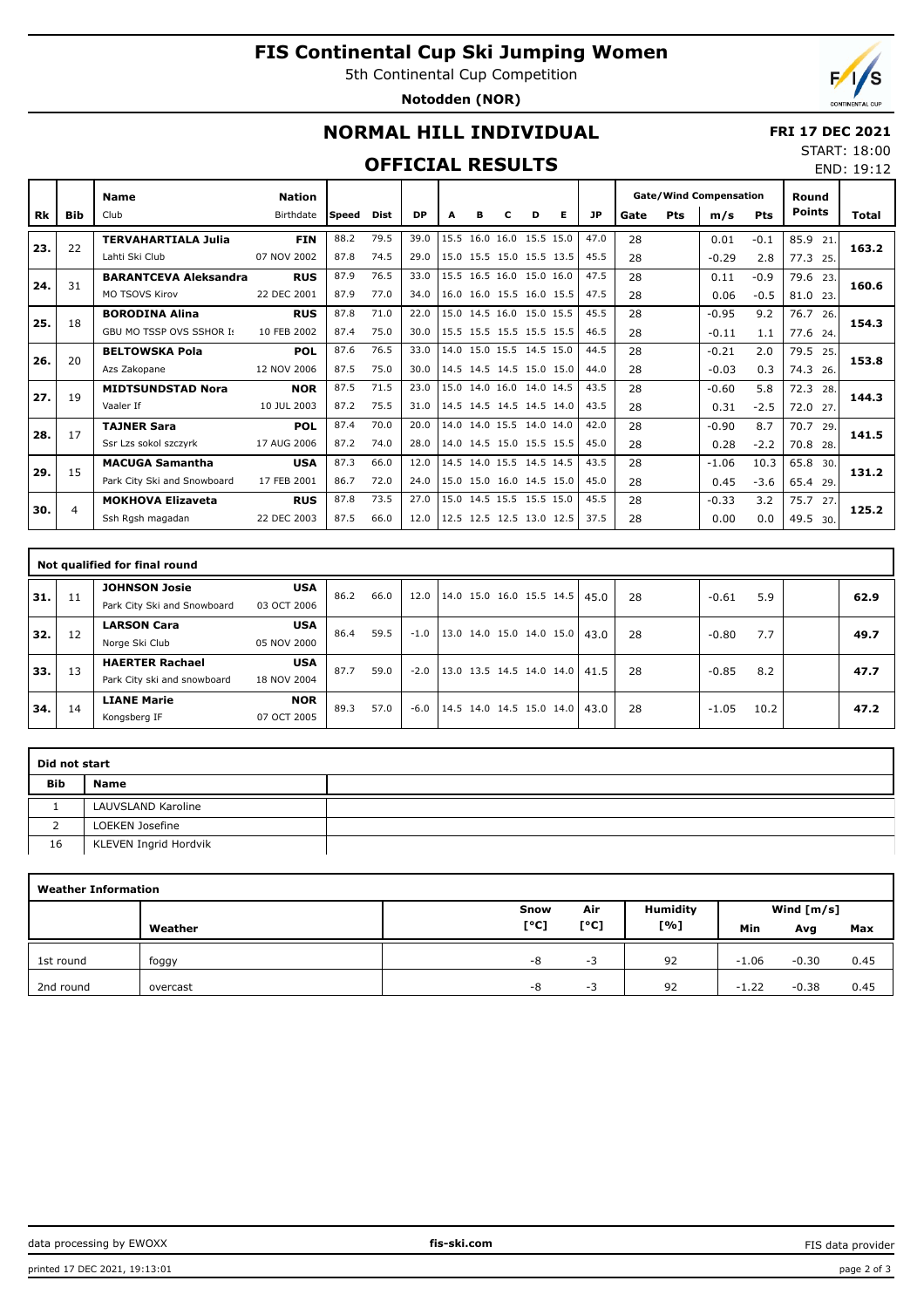# **FIS Continental Cup Ski Jumping Women**

5th Continental Cup Competition

**Notodden (NOR)**



END: 19:12

## **NORMAL HILL INDIVIDUAL**

#### **FRI 17 DEC 2021** START: 18:00

#### **OFFICIAL RESULTS**

|     |     | <b>Name</b>                     | <b>Nation</b> |       |      |           |      |   |                          |   |   |           | <b>Gate/Wind Compensation</b> |     |         |            | Round         |       |  |
|-----|-----|---------------------------------|---------------|-------|------|-----------|------|---|--------------------------|---|---|-----------|-------------------------------|-----|---------|------------|---------------|-------|--|
| Rk  | Bib | Club                            | Birthdate     | Speed | Dist | <b>DP</b> | A    | в | с                        | D | Е | <b>JP</b> | Gate                          | Pts | m/s     | <b>Pts</b> | <b>Points</b> | Total |  |
| 23. | 22  | <b>TERVAHARTIALA Julia</b>      | <b>FIN</b>    | 88.2  | 79.5 | 39.0      | 15.5 |   | 16.0 16.0 15.5 15.0      |   |   | 47.0      | 28                            |     | 0.01    | $-0.1$     | 85.9<br>21    | 163.2 |  |
|     |     | Lahti Ski Club                  | 07 NOV 2002   | 87.8  | 74.5 | 29.0      |      |   | 15.0 15.5 15.0 15.5 13.5 |   |   | 45.5      | 28                            |     | $-0.29$ | 2.8        | 77.3<br>25.   |       |  |
| 24. | 31  | <b>BARANTCEVA Aleksandra</b>    | <b>RUS</b>    | 87.9  | 76.5 | 33.0      |      |   | 15.5 16.5 16.0 15.0 16.0 |   |   | 47.5      | 28                            |     | 0.11    | $-0.9$     | 79.6<br>23.   | 160.6 |  |
|     |     | MO TSOVS Kirov                  | 22 DEC 2001   | 87.9  | 77.0 | 34.0      |      |   | 16.0 16.0 15.5 16.0 15.5 |   |   | 47.5      | 28                            |     | 0.06    | $-0.5$     | 81.0<br>23.   |       |  |
| 25. | 18  | <b>BORODINA Alina</b>           | <b>RUS</b>    | 87.8  | 71.0 | 22.0      |      |   | 15.0 14.5 16.0 15.0 15.5 |   |   | 45.5      | 28                            |     | $-0.95$ | 9.2        | 76.7<br>26.   | 154.3 |  |
|     |     | <b>GBU MO TSSP OVS SSHOR Is</b> | 10 FEB 2002   | 87.4  | 75.0 | 30.0      |      |   | 15.5 15.5 15.5 15.5 15.5 |   |   | 46.5      | 28                            |     | $-0.11$ | 1.1        | 77.6<br>24.   |       |  |
| 26. | 20  | <b>BELTOWSKA Pola</b>           | <b>POL</b>    | 87.6  | 76.5 | 33.0      | 14.0 |   | 15.0 15.5 14.5 15.0      |   |   | 44.5      | 28                            |     | $-0.21$ | 2.0        | 79.5<br>25.   | 153.8 |  |
|     |     | Azs Zakopane                    | 12 NOV 2006   | 87.5  | 75.0 | 30.0      |      |   | 14.5 14.5 14.5 15.0 15.0 |   |   | 44.0      | 28                            |     | $-0.03$ | 0.3        | 74.3<br>26.   |       |  |
| 27. | 19  | <b>MIDTSUNDSTAD Nora</b>        | <b>NOR</b>    | 87.5  | 71.5 | 23.0      |      |   | 15.0 14.0 16.0 14.0 14.5 |   |   | 43.5      | 28                            |     | $-0.60$ | 5.8        | 72.3<br>28.   | 144.3 |  |
|     |     | Vaaler If                       | 10 JUL 2003   | 87.2  | 75.5 | 31.0      |      |   | 14.5 14.5 14.5 14.5 14.0 |   |   | 43.5      | 28                            |     | 0.31    | $-2.5$     | 72.0<br>27.   |       |  |
| 28. | 17  | <b>TAJNER Sara</b>              | <b>POL</b>    | 87.4  | 70.0 | 20.0      |      |   | 14.0 14.0 15.5 14.0 14.0 |   |   | 42.0      | 28                            |     | $-0.90$ | 8.7        | 70.7<br>29.   | 141.5 |  |
|     |     | Ssr Lzs sokol szczyrk           | 17 AUG 2006   | 87.2  | 74.0 | 28.0      |      |   | 14.0 14.5 15.0 15.5 15.5 |   |   | 45.0      | 28                            |     | 0.28    | $-2.2$     | 70.8<br>28.   |       |  |
| 29. | 15  | <b>MACUGA Samantha</b>          | <b>USA</b>    | 87.3  | 66.0 | 12.0      |      |   | 14.5 14.0 15.5 14.5 14.5 |   |   | 43.5      | 28                            |     | $-1.06$ | 10.3       | 65.8<br>30.   | 131.2 |  |
|     |     | Park City Ski and Snowboard     | 17 FEB 2001   | 86.7  | 72.0 | 24.0      |      |   | 15.0 15.0 16.0 14.5 15.0 |   |   | 45.0      | 28                            |     | 0.45    | $-3.6$     | 65.4 29.      |       |  |
| 30. | 4   | <b>MOKHOVA Elizaveta</b>        | <b>RUS</b>    | 87.8  | 73.5 | 27.0      |      |   | 15.0 14.5 15.5 15.5 15.0 |   |   | 45.5      | 28                            |     | $-0.33$ | 3.2        | 75.7<br>27    | 125.2 |  |
|     |     | Ssh Rgsh magadan                | 22 DEC 2003   | 87.5  | 66.0 | 12.0      |      |   | 12.5 12.5 12.5 13.0 12.5 |   |   | 37.5      | 28                            |     | 0.00    | 0.0        | 49.5<br>30.   |       |  |

|                | Not qualified for final round |                                                       |                           |      |      |        |                                 |  |  |  |  |    |         |      |  |      |
|----------------|-------------------------------|-------------------------------------------------------|---------------------------|------|------|--------|---------------------------------|--|--|--|--|----|---------|------|--|------|
| 31.            | 11                            | <b>JOHNSON Josie</b><br>Park City Ski and Snowboard   | <b>USA</b><br>03 OCT 2006 | 86.2 | 66.0 | 12.0   | 14.0 15.0 16.0 15.5 14.5   45.0 |  |  |  |  | 28 | $-0.61$ | 5.9  |  | 62.9 |
| <sup>32.</sup> | 12                            | <b>LARSON Cara</b><br>Norge Ski Club                  | <b>USA</b><br>05 NOV 2000 | 86.4 | 59.5 | $-1.0$ | 13.0 14.0 15.0 14.0 15.0 43.0   |  |  |  |  | 28 | $-0.80$ | 7.7  |  | 49.7 |
| 33.            | 13                            | <b>HAERTER Rachael</b><br>Park City ski and snowboard | <b>USA</b><br>18 NOV 2004 | 87.7 | 59.0 | $-2.0$ | 13.0 13.5 14.5 14.0 14.0 41.5   |  |  |  |  | 28 | $-0.85$ | 8.2  |  | 47.7 |
| 34.            | 14                            | <b>LIANE Marie</b><br>Kongsberg IF                    | <b>NOR</b><br>07 OCT 2005 | 89.3 | 57.0 | $-6.0$ | 14.5 14.0 14.5 15.0 14.0 43.0   |  |  |  |  | 28 | $-1.05$ | 10.2 |  | 47.2 |

| Did not start |                       |  |
|---------------|-----------------------|--|
| <b>Bib</b>    | Name                  |  |
|               | LAUVSLAND Karoline    |  |
|               | LOEKEN Josefine       |  |
| 16            | KLEVEN Ingrid Hordvik |  |

|           | <b>Weather Information</b> |      |      |                 |              |         |      |  |  |  |  |  |  |  |  |
|-----------|----------------------------|------|------|-----------------|--------------|---------|------|--|--|--|--|--|--|--|--|
|           |                            | Snow | Air  | <b>Humidity</b> | Wind $[m/s]$ |         |      |  |  |  |  |  |  |  |  |
|           | Weather                    | [°C] | [°C] | [%]             | Min          | Avg     | Max  |  |  |  |  |  |  |  |  |
| 1st round | foggy                      | -8   | -3   | 92              | $-1.06$      | $-0.30$ | 0.45 |  |  |  |  |  |  |  |  |
| 2nd round | overcast                   | -8   | -3   | 92              | $-1.22$      | $-0.38$ | 0.45 |  |  |  |  |  |  |  |  |